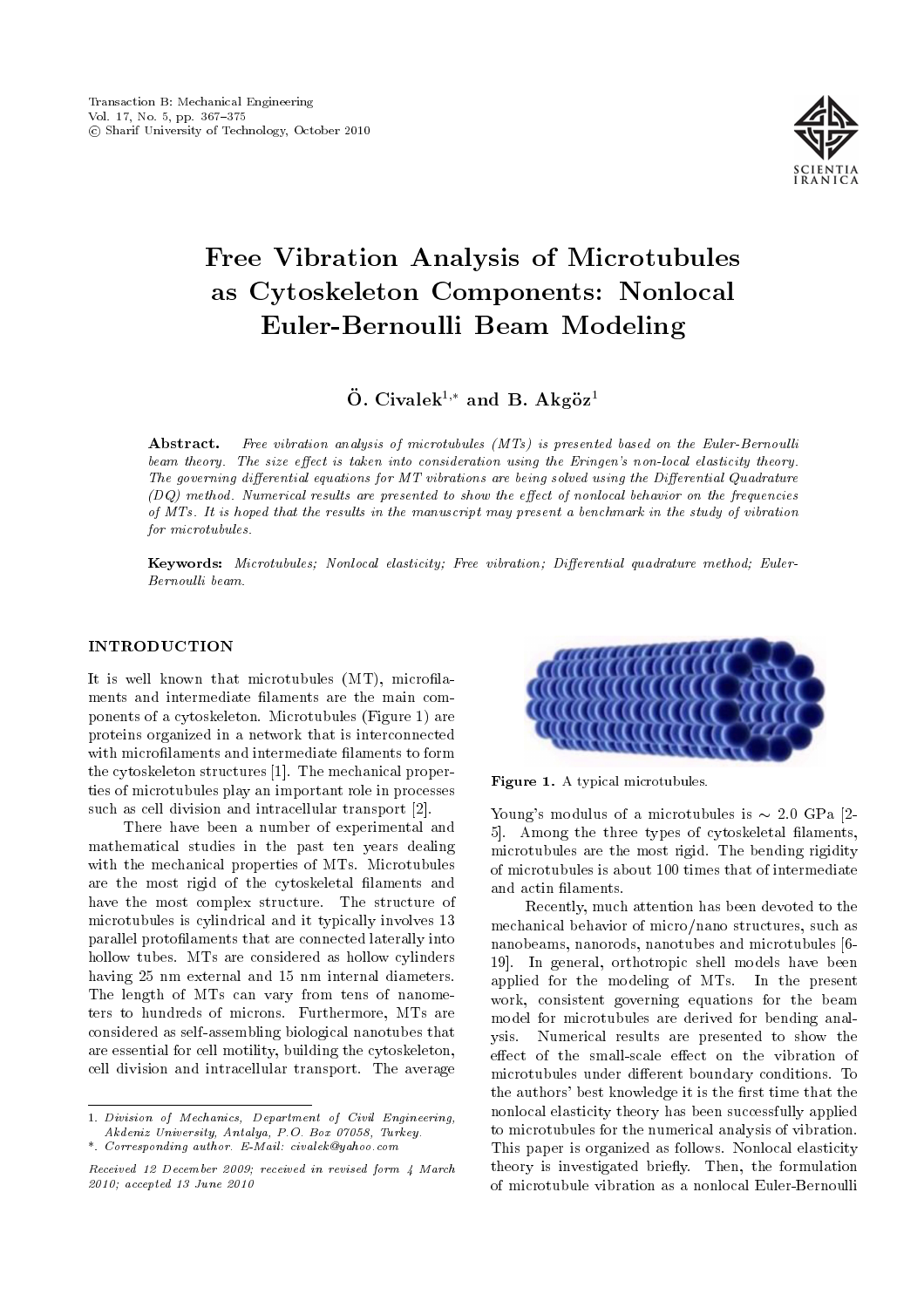

# Free Vibration Analysis of Microtubules as Cytoskeleton Components: Nonlocal Euler-Bernoulli Beam Modeling

 $\ddot{\text{O}}$ . Civalek<sup>1,\*</sup> and B. Akg $\ddot{\text{o}}$ z<sup>1</sup>

Abstract. Free vibration analysis of microtubules (MTs) is presented based on the Euler-Bernoulli beam theory. The size effect is taken into consideration using the Eringen's non-local elasticity theory. The governing differential equations for MT vibrations are being solved using the Differential Quadrature  $(DQ)$  method. Numerical results are presented to show the effect of nonlocal behavior on the frequencies of MTs. It is hoped that the results in the manuscript may present a benchmark in the study of vibration for microtubules.

Keywords: Microtubules; Nonlocal elasticity; Free vibration; Differential quadrature method; Euler-Bernoulli beam.

## INTRODUCTION

It is well known that microtubules  $(MT)$ , microfilaments and intermediate laments are the main components of a cytoskeleton. Microtubules (Figure 1) are proteins organized in a network that is interconnected with microfilaments and intermediate filaments to form the cytoskeleton structures [1]. The mechanical properties of microtubules play an important role in processes such as cell division and intracellular transport [2].

There have been a number of experimental and mathematical studies in the past ten years dealing with the mechanical properties of MTs. Microtubules are the most rigid of the cytoskeletal filaments and have the most complex structure. The structure of microtubules is cylindrical and it typically involves 13 parallel protolaments that are connected laterally into hollow tubes. MTs are considered as hollow cylinders having 25 nm external and 15 nm internal diameters. The length of MTs can vary from tens of nanometers to hundreds of microns. Furthermore, MTs are considered as self-assembling biological nanotubes that are essential for cell motility, building the cytoskeleton, cell division and intracellular transport. The average



Figure 1. A typical microtubules.

Young's modulus of a microtubules is  $\sim 2.0$  GPa [2-5]. Among the three types of cytoskeletal laments, microtubules are the most rigid. The bending rigidity of microtubules is about 100 times that of intermediate and actin laments.

Recently, much attention has been devoted to the mechanical behavior of micro/nano structures, such as nanobeams, nanorods, nanotubes and microtubules [6- 19]. In general, orthotropic shell models have been applied for the modeling of MTs. In the present work, consistent governing equations for the beam model for microtubules are derived for bending analysis. Numerical results are presented to show the effect of the small-scale effect on the vibration of microtubules under different boundary conditions. To the authors' best knowledge it is the first time that the nonlocal elasticity theory has been successfully applied to microtubules for the numerical analysis of vibration. This paper is organized as follows. Nonlocal elasticity theory is investigated briefly. Then, the formulation of microtubule vibration as a nonlocal Euler-Bernoulli

<sup>1.</sup> Division of Mechanics, Department of Civil Engineering, Akdeniz University, Antalya, P.O. Box 07058, Turkey. \*. Corresponding author. E-Mail: civalek@yahoo.com

Received 12 December 2009; received in revised form 4 March 2010; accepted 13 June 2010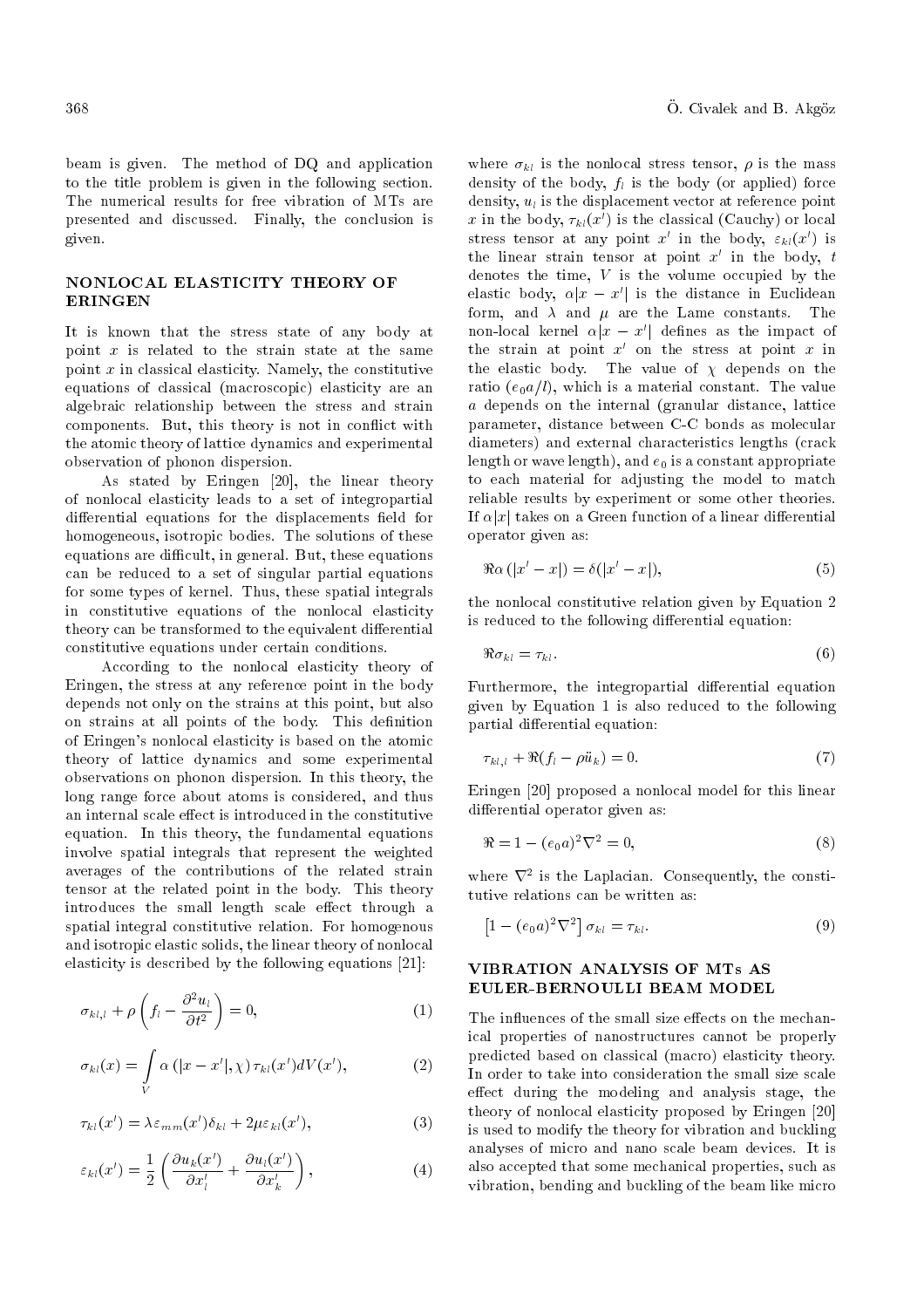beam is given. The method of DQ and application to the title problem is given in the following section. The numerical results for free vibration of MTs are presented and discussed. Finally, the conclusion is given.

# NONLOCAL ELASTICITY THEORY OF ERINGEN

It is known that the stress state of any body at point x is related to the strain state at the same point  $x$  in classical elasticity. Namely, the constitutive equations of classical (macroscopic) elasticity are an algebraic relationship between the stress and strain components. But, this theory is not in conflict with the atomic theory of lattice dynamics and experimental observation of phonon dispersion.

As stated by Eringen [20], the linear theory of nonlocal elasticity leads to a set of integropartial differential equations for the displacements field for homogeneous, isotropic bodies. The solutions of these equations are difficult, in general. But, these equations can be reduced to a set of singular partial equations for some types of kernel. Thus, these spatial integrals in constitutive equations of the nonlocal elasticity theory can be transformed to the equivalent differential constitutive equations under certain conditions.

According to the nonlocal elasticity theory of Eringen, the stress at any reference point in the body depends not only on the strains at this point, but also on strains at all points of the body. This definition of Eringen's nonlocal elasticity is based on the atomic theory of lattice dynamics and some experimental observations on phonon dispersion. In this theory, the long range force about atoms is considered, and thus an internal scale effect is introduced in the constitutive equation. In this theory, the fundamental equations involve spatial integrals that represent the weighted averages of the contributions of the related strain tensor at the related point in the body. This theory introduces the small length scale effect through a spatial integral constitutive relation. For homogenous and isotropic elastic solids, the linear theory of nonlocal elasticity is described by the following equations [21]:

$$
\sigma_{kl,l} + \rho \left( f_l - \frac{\partial^2 u_l}{\partial t^2} \right) = 0, \tag{1}
$$

$$
\sigma_{kl}(x) = \int\limits_V \alpha\left(|x - x'|, \chi\right) \tau_{kl}(x') dV(x'),\tag{2}
$$

$$
\tau_{kl}(x') = \lambda \varepsilon_{mm}(x') \delta_{kl} + 2\mu \varepsilon_{kl}(x'), \qquad (3)
$$

$$
\varepsilon_{kl}(x') = \frac{1}{2} \left( \frac{\partial u_k(x')}{\partial x'_l} + \frac{\partial u_l(x')}{\partial x'_k} \right),\tag{4}
$$

where  $\sigma_{kl}$  is the nonlocal stress tensor,  $\rho$  is the mass density of the body,  $f_l$  is the body (or applied) force density,  $u_l$  is the displacement vector at reference point  $x$  in the body,  $\tau_{kl}(x')$  is the classical (Cauchy) or local stress tensor at any point  $x'$  in the body,  $\varepsilon_{kl}(x')$  is the linear strain tensor at point  $x'$  in the body, t denotes the time,  $V$  is the volume occupied by the elastic body,  $\alpha |x - x'|$  is the distance in Euclidean form, and  $\lambda$  and  $\mu$  are the Lame constants. The non-local kernel  $\alpha |x - x'|$  defines as the impact of the strain at point  $x'$  on the stress at point  $x$  in the elastic body. The value of  $\chi$  depends on the ratio  $(e_0a/l)$ , which is a material constant. The value a depends on the internal (granular distance, lattice parameter, distance between C-C bonds as molecular diameters) and external characteristics lengths (crack length or wave length), and  $e_0$  is a constant appropriate to each material for adjusting the model to match reliable results by experiment or some other theories. If  $\alpha |x|$  takes on a Green function of a linear differential operator given as:

$$
\Re \alpha \left( |x'-x| \right) = \delta(|x'-x|),\tag{5}
$$

the nonlocal constitutive relation given by Equation 2 is reduced to the following differential equation:

$$
\Re \sigma_{kl} = \tau_{kl}.\tag{6}
$$

Furthermore, the integropartial differential equation given by Equation 1 is also reduced to the following partial differential equation:

$$
\tau_{kl,l} + \Re(f_l - \rho \ddot{u}_k) = 0. \tag{7}
$$

Eringen [20] proposed a nonlocal model for this linear differential operator given as:

$$
\Re = 1 - (e_0 a)^2 \nabla^2 = 0,\tag{8}
$$

where  $\nabla^2$  is the Laplacian. Consequently, the constitutive relations can be written as:

$$
\left[1 - (e_0 a)^2 \nabla^2\right] \sigma_{kl} = \tau_{kl}.
$$
\n(9)

# VIBRATION ANALYSIS OF MTs AS EULER-BERNOULLI BEAM MODEL

The influences of the small size effects on the mechanical properties of nanostructures cannot be properly predicted based on classical (macro) elasticity theory. In order to take into consideration the small size scale effect during the modeling and analysis stage, the theory of nonlocal elasticity proposed by Eringen [20] is used to modify the theory for vibration and buckling analyses of micro and nano scale beam devices. It is also accepted that some mechanical properties, such as vibration, bending and buckling of the beam like micro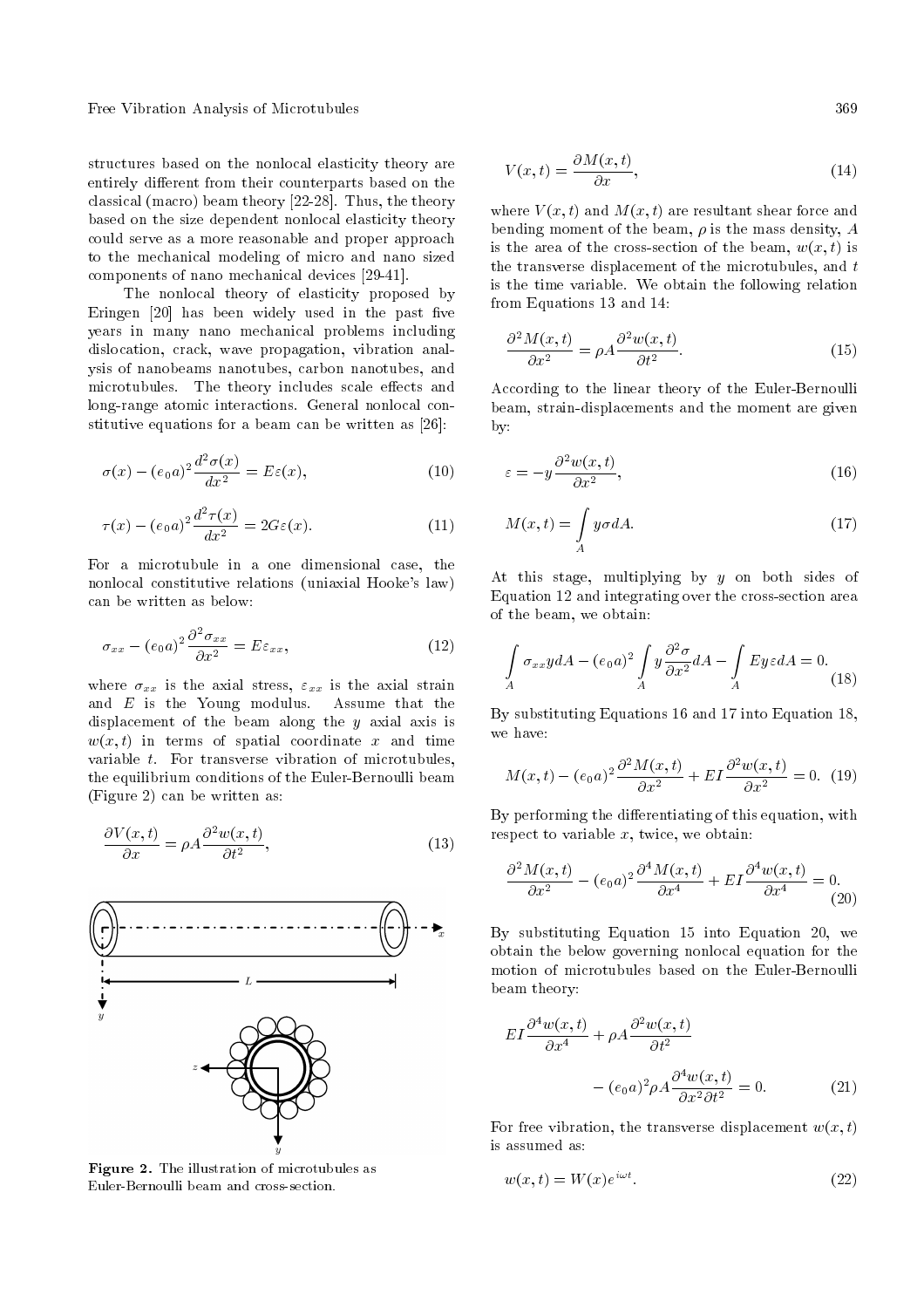Free Vibration Analysis of Microtubules 369

structures based on the nonlocal elasticity theory are entirely different from their counterparts based on the classical (macro) beam theory [22-28]. Thus, the theory based on the size dependent nonlocal elasticity theory could serve as a more reasonable and proper approach to the mechanical modeling of micro and nano sized components of nano mechanical devices [29-41].

The nonlocal theory of elasticity proposed by Eringen  $[20]$  has been widely used in the past five years in many nano mechanical problems including dislocation, crack, wave propagation, vibration analysis of nanobeams nanotubes, carbon nanotubes, and microtubules. The theory includes scale effects and long-range atomic interactions. General nonlocal constitutive equations for a beam can be written as [26]:

$$
\sigma(x) - (e_0 a)^2 \frac{d^2 \sigma(x)}{dx^2} = E\varepsilon(x),\tag{10}
$$

$$
\tau(x) - (e_0 a)^2 \frac{d^2 \tau(x)}{dx^2} = 2G\varepsilon(x). \tag{11}
$$

For a microtubule in a one dimensional case, the nonlocal constitutive relations (uniaxial Hooke's law) can be written as below:

$$
\sigma_{xx} - (e_0 a)^2 \frac{\partial^2 \sigma_{xx}}{\partial x^2} = E \varepsilon_{xx}, \qquad (12)
$$

where  $\sigma_{xx}$  is the axial stress,  $\varepsilon_{xx}$  is the axial strain and E is the Young modulus. Assume that the displacement of the beam along the  $y$  axial axis is  $w(x, t)$  in terms of spatial coordinate x and time variable t. For transverse vibration of microtubules, the equilibrium conditions of the Euler-Bernoulli beam (Figure 2) can be written as:

$$
\frac{\partial V(x,t)}{\partial x} = \rho A \frac{\partial^2 w(x,t)}{\partial t^2},\tag{13}
$$



Figure 2. The illustration of microtubules as Euler-Bernoulli beam and cross-section.

$$
V(x,t) = \frac{\partial M(x,t)}{\partial x},\tag{14}
$$

where  $V(x, t)$  and  $M(x, t)$  are resultant shear force and bending moment of the beam,  $\rho$  is the mass density,  $A$ is the area of the cross-section of the beam,  $w(x, t)$  is the transverse displacement of the microtubules, and t is the time variable. We obtain the following relation from Equations 13 and 14:

$$
\frac{\partial^2 M(x,t)}{\partial x^2} = \rho A \frac{\partial^2 w(x,t)}{\partial t^2}.
$$
 (15)

According to the linear theory of the Euler-Bernoulli beam, strain-displacements and the moment are given by:

$$
\varepsilon = -y \frac{\partial^2 w(x, t)}{\partial x^2},\tag{16}
$$

$$
M(x,t) = \int_{A} y \sigma dA. \tag{17}
$$

At this stage, multiplying by y on both sides of Equation 12 and integrating over the cross-section area of the beam, we obtain:

$$
\int_{A} \sigma_{xx} y dA - (e_0 a)^2 \int_{A} y \frac{\partial^2 \sigma}{\partial x^2} dA - \int_{A} E y \varepsilon dA = 0.
$$
\n(18)

By substituting Equations 16 and 17 into Equation 18, we have:

$$
M(x,t) - (e_0 a)^2 \frac{\partial^2 M(x,t)}{\partial x^2} + EI \frac{\partial^2 w(x,t)}{\partial x^2} = 0.
$$
 (19)

By performing the differentiating of this equation, with respect to variable  $x$ , twice, we obtain:

$$
\frac{\partial^2 M(x,t)}{\partial x^2} - (e_0 a)^2 \frac{\partial^4 M(x,t)}{\partial x^4} + EI \frac{\partial^4 w(x,t)}{\partial x^4} = 0.
$$
\n(20)

By substituting Equation 15 into Equation 20, we obtain the below governing nonlocal equation for the motion of microtubules based on the Euler-Bernoulli beam theory:

$$
EI\frac{\partial^4 w(x,t)}{\partial x^4} + \rho A \frac{\partial^2 w(x,t)}{\partial t^2} - (e_0 a)^2 \rho A \frac{\partial^4 w(x,t)}{\partial x^2 \partial t^2} = 0.
$$
 (21)

For free vibration, the transverse displacement  $w(x, t)$ is assumed as:

$$
w(x,t) = W(x)e^{i\omega t}.
$$
\n(22)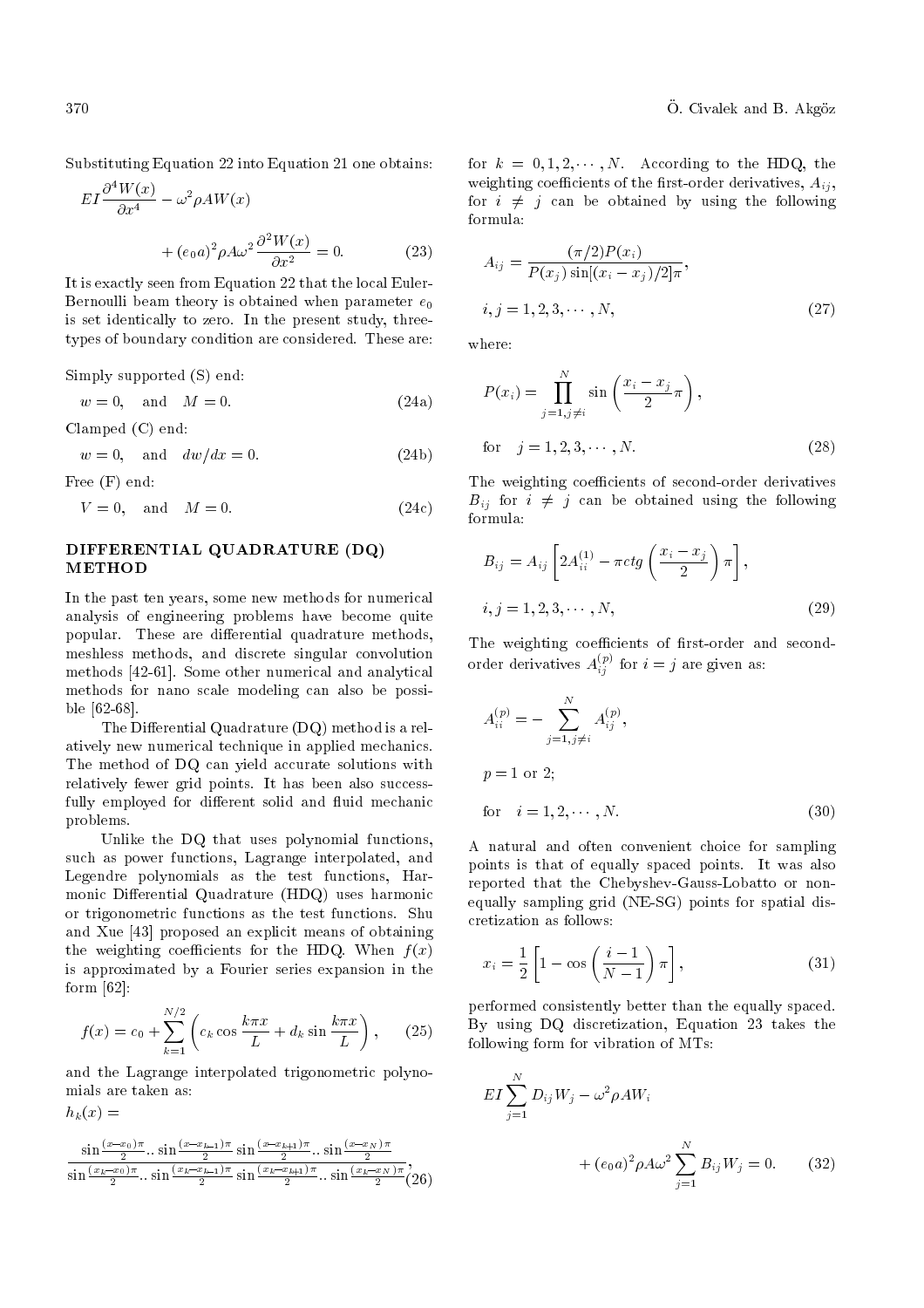Substituting Equation 22 into Equation 21 one obtains:

$$
EI\frac{\partial^4 W(x)}{\partial x^4} - \omega^2 \rho A W(x) + (e_0 a)^2 \rho A \omega^2 \frac{\partial^2 W(x)}{\partial x^2} = 0.
$$
 (23)

It is exactly seen from Equation 22 that the local Euler-Bernoulli beam theory is obtained when parameter  $e_0$ is set identically to zero. In the present study, threetypes of boundary condition are considered. These are:

Simply supported (S) end:

$$
w = 0, \quad \text{and} \quad M = 0. \tag{24a}
$$

Clamped (C) end:

 $w = 0$ , and  $dw/dx = 0$ . (24b)

Free (F) end:

 $h_k(x) =$ 

 $V = 0$ , and  $M = 0$ . (24c)

# DIFFERENTIAL QUADRATURE (DQ) METHOD

In the past ten years, some new methods for numerical analysis of engineering problems have become quite popular. These are differential quadrature methods, meshless methods, and discrete singular convolution methods [42-61]. Some other numerical and analytical methods for nano scale modeling can also be possible [62-68].

The Differential Quadrature  $(DQ)$  method is a relatively new numerical technique in applied mechanics. The method of DQ can yield accurate solutions with relatively fewer grid points. It has been also successfully employed for different solid and fluid mechanic problems.

Unlike the DQ that uses polynomial functions, such as power functions, Lagrange interpolated, and Legendre polynomials as the test functions, Harmonic Differential Quadrature (HDQ) uses harmonic or trigonometric functions as the test functions. Shu and Xue [43] proposed an explicit means of obtaining the weighting coefficients for the HDQ. When  $f(x)$ is approximated by a Fourier series expansion in the form [62]:

$$
f(x) = c_0 + \sum_{k=1}^{N/2} \left( c_k \cos \frac{k \pi x}{L} + d_k \sin \frac{k \pi x}{L} \right), \quad (25)
$$

and the Lagrange interpolated trigonometric polynomials are taken as:

$$
\frac{\sin\left(\frac{(x-x_0)\pi}{2}\right)\sin\left(\frac{(x-x_{k+1})\pi}{2}\right)\sin\left(\frac{(x-x_{k+1})\pi}{2}\right)\sin\left(\frac{(x-x_{N})\pi}{2}\right)}{\sin\left(\frac{(x_k-x_0)\pi}{2}\right)\sin\left(\frac{(x_k-x_{k+1})\pi}{2}\right)\sin\left(\frac{(x_k-x_{k+1})\pi}{2}\right)\sin\left(\frac{(x_k-x_N)\pi}{2}\right)}.
$$

for  $k = 0, 1, 2, \dots, N$ . According to the HDQ, the weighting coefficients of the first-order derivatives,  $A_{ij}$ , for  $i \neq j$  can be obtained by using the following formula:

$$
A_{ij} = \frac{(\pi/2)P(x_i)}{P(x_j)\sin[(x_i - x_j)/2]\pi},
$$
  

$$
i, j = 1, 2, 3, \cdots, N,
$$
 (27)

where:

$$
P(x_i) = \prod_{j=1, j \neq i}^{N} \sin\left(\frac{x_i - x_j}{2}\pi\right),
$$
  
for  $j = 1, 2, 3, \cdots, N.$  (28)

The weighting coefficients of second-order derivatives  $B_{ij}$  for  $i \neq j$  can be obtained using the following formula:

$$
B_{ij} = A_{ij} \left[ 2A_{ii}^{(1)} - \pi ctg \left( \frac{x_i - x_j}{2} \right) \pi \right],
$$
  

$$
i, j = 1, 2, 3, \cdots, N,
$$
 (29)

The weighting coefficients of first-order and secondorder derivatives  $A_{ij}^{(p)}$  for  $i = j$  are given as:

$$
A_{ii}^{(p)} = -\sum_{j=1, j \neq i}^{N} A_{ij}^{(p)},
$$
  
\n
$$
p = 1 \text{ or } 2;
$$
  
\nfor  $i = 1, 2, \dots, N.$  (30)

A natural and often convenient choice for sampling points is that of equally spaced points. It was also reported that the Chebyshev-Gauss-Lobatto or nonequally sampling grid (NE-SG) points for spatial discretization as follows:

$$
x_i = \frac{1}{2} \left[ 1 - \cos\left(\frac{i-1}{N-1}\right) \pi \right],\tag{31}
$$

performed consistently better than the equally spaced. By using DQ discretization, Equation 23 takes the following form for vibration of MTs:

$$
EI \sum_{j=1}^{N} D_{ij} W_j - \omega^2 \rho A W_i
$$
  
+  $(e_0 a)^2 \rho A \omega^2 \sum_{j=1}^{N} B_{ij} W_j = 0.$  (32)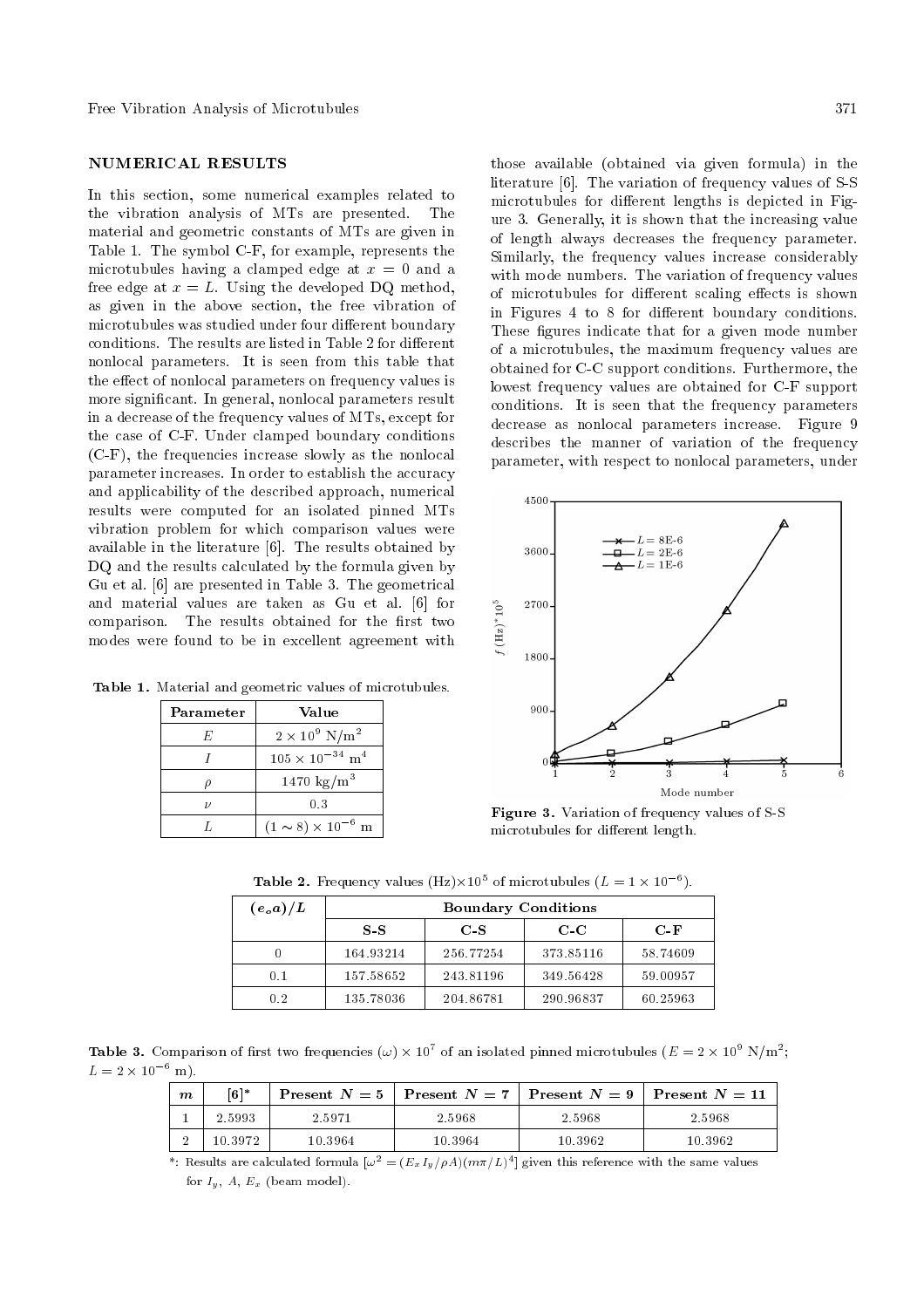## NUMERICAL RESULTS

In this section, some numerical examples related to the vibration analysis of MTs are presented. The material and geometric constants of MTs are given in Table 1. The symbol C-F, for example, represents the microtubules having a clamped edge at  $x = 0$  and a free edge at  $x = L$ . Using the developed DQ method, as given in the above section, the free vibration of microtubules was studied under four different boundary conditions. The results are listed in Table 2 for different nonlocal parameters. It is seen from this table that the effect of nonlocal parameters on frequency values is more signicant. In general, nonlocal parameters result in a decrease of the frequency values of MTs, except for the case of C-F. Under clamped boundary conditions (C-F), the frequencies increase slowly as the nonlocal parameter increases. In order to establish the accuracy and applicability of the described approach, numerical results were computed for an isolated pinned MTs vibration problem for which comparison values were available in the literature [6]. The results obtained by DQ and the results calculated by the formula given by Gu et al. [6] are presented in Table 3. The geometrical and material values are taken as Gu et al. [6] for comparison. The results obtained for the first two modes were found to be in excellent agreement with

Table 1. Material and geometric values of microtubules.

| Parameter | Value                                |  |
|-----------|--------------------------------------|--|
| F.        | $2 \times 10^9$ N/m <sup>2</sup>     |  |
|           | $105 \times 10^{-34}$ m <sup>4</sup> |  |
|           | 1470 $\text{kg/m}^3$                 |  |
| 11        | 0.3                                  |  |
|           | $(1 \sim 8) \times 10^{-6}$ m        |  |

those available (obtained via given formula) in the literature [6]. The variation of frequency values of S-S microtubules for different lengths is depicted in Figure 3. Generally, it is shown that the increasing value of length always decreases the frequency parameter. Similarly, the frequency values increase considerably with mode numbers. The variation of frequency values of microtubules for different scaling effects is shown in Figures 4 to 8 for different boundary conditions. These figures indicate that for a given mode number of a microtubules, the maximum frequency values are obtained for C-C support conditions. Furthermore, the lowest frequency values are obtained for C-F support conditions. It is seen that the frequency parameters decrease as nonlocal parameters increase. Figure 9 describes the manner of variation of the frequency parameter, with respect to nonlocal parameters, under



Figure 3. Variation of frequency values of S-S microtubules for different length.

|                   | <b>Table 2.</b> Frequency values (Hz) $\times 10^5$ of microtubules ( $L = 1 \times 10^{-6}$ ). |
|-------------------|-------------------------------------------------------------------------------------------------|
| $(e_{\alpha}a)/L$ | <b>Boundary Conditions</b>                                                                      |

| $(e_o a)/L$ | <b>Boundary Conditions</b> |           |           |          |  |
|-------------|----------------------------|-----------|-----------|----------|--|
|             | S S                        | $C$ S     | $C-C$     | $C-F$    |  |
|             | 164.93214                  | 256.77254 | 373.85116 | 58.74609 |  |
| 0.1         | 157.58652                  | 243.81196 | 349.56428 | 59.00957 |  |
| 0.2         | 135.78036                  | 204.86781 | 290.96837 | 60.25963 |  |

**Table 3.** Comparison of first two frequencies  $(\omega) \times 10^7$  of an isolated pinned microtubules  $(E = 2 \times 10^9 \text{ N/m}^2)$ ;  $L = 2 \times 10^{-6}$  m).

| $\boldsymbol{m}$ | $\lceil 6 \rceil^*$ |         | <b>Present</b> $N = 5$   Present $N = 7$   Present $N = 9$   Present $N = 11$ |         |         |
|------------------|---------------------|---------|-------------------------------------------------------------------------------|---------|---------|
|                  | 2.5993              | 2.5971  | 2.5968                                                                        | 2.5968  | 2.5968  |
|                  | 10.3972             | 10.3964 | 10.3964                                                                       | 10.3962 | 10.3962 |

\*: Results are calculated formula  $[\omega^2=(E_xI_y/\rho A)(m\pi/L)^4]$  given this reference with the same values for  $I_y$ , A,  $E_x$  (beam model).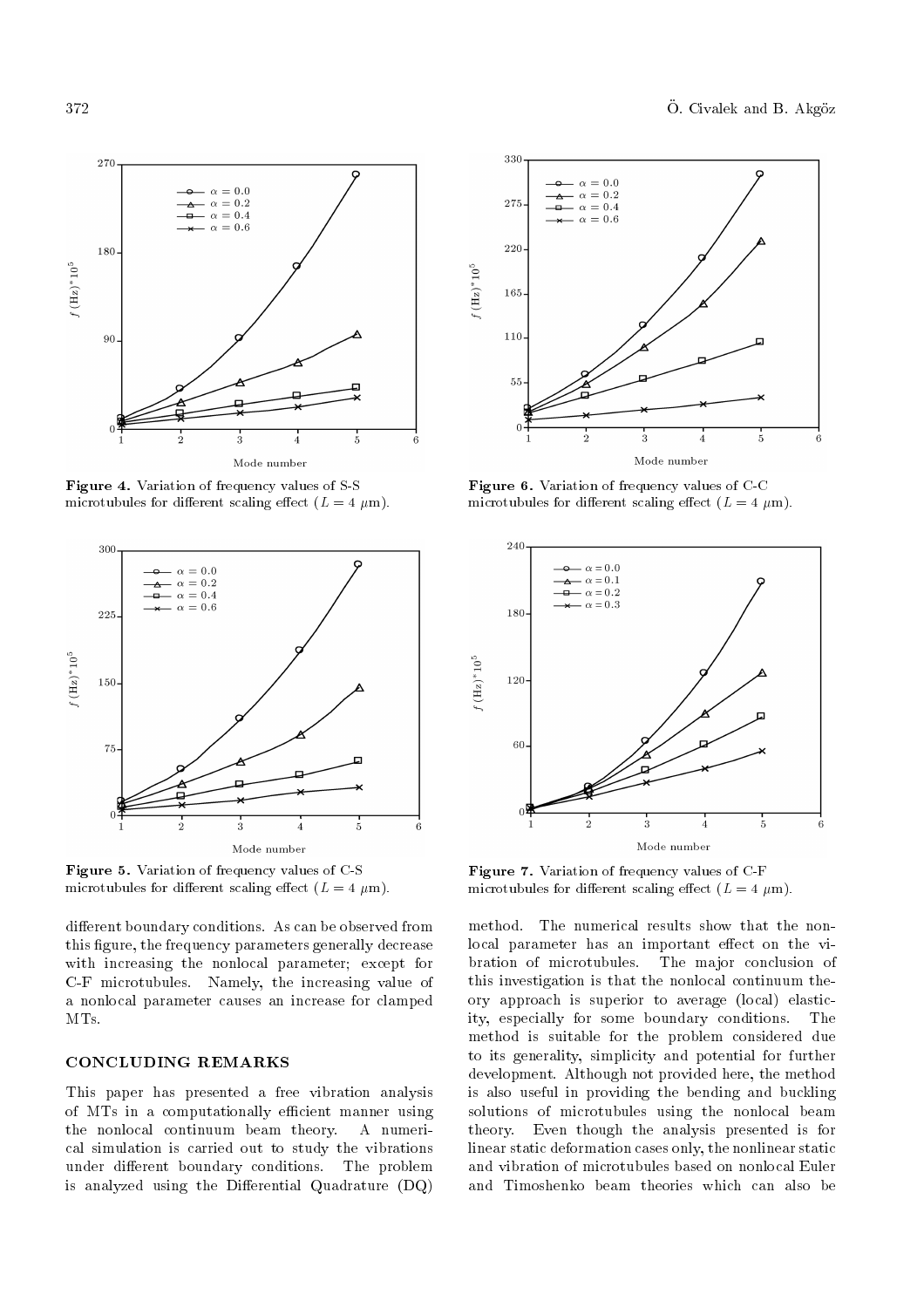

Figure 4. Variation of frequency values of S-S microtubules for different scaling effect  $(L = 4 \mu m)$ .



Figure 5. Variation of frequency values of C-S microtubules for different scaling effect  $(L = 4 \mu m)$ .

different boundary conditions. As can be observed from this figure, the frequency parameters generally decrease with increasing the nonlocal parameter; except for C-F microtubules. Namely, the increasing value of a nonlocal parameter causes an increase for clamped MTs.

## CONCLUDING REMARKS

This paper has presented a free vibration analysis of MTs in a computationally efficient manner using the nonlocal continuum beam theory. A numerical simulation is carried out to study the vibrations under different boundary conditions. The problem is analyzed using the Differential Quadrature  $(DQ)$ 



Figure 6. Variation of frequency values of C-C microtubules for different scaling effect  $(L = 4 \mu m)$ .



Figure 7. Variation of frequency values of C-F microtubules for different scaling effect  $(L = 4 \mu m)$ .

method. The numerical results show that the nonlocal parameter has an important effect on the vibration of microtubules. The major conclusion of this investigation is that the nonlocal continuum theory approach is superior to average (local) elasticity, especially for some boundary conditions. The method is suitable for the problem considered due to its generality, simplicity and potential for further development. Although not provided here, the method is also useful in providing the bending and buckling solutions of microtubules using the nonlocal beam theory. Even though the analysis presented is for linear static deformation cases only, the nonlinear static and vibration of microtubules based on nonlocal Euler and Timoshenko beam theories which can also be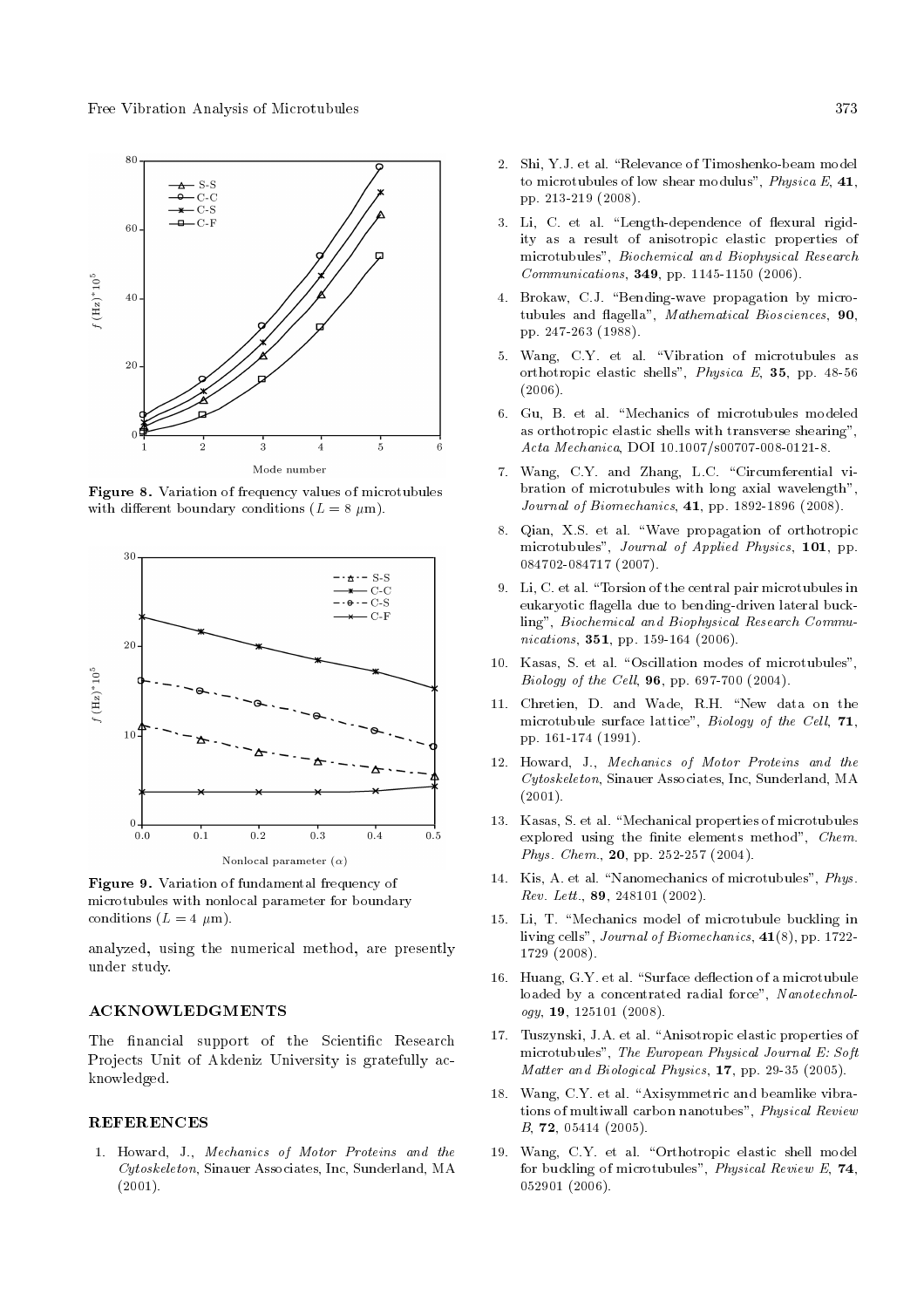

Figure 8. Variation of frequency values of microtubules with different boundary conditions  $(L = 8 \mu m)$ .



Figure 9. Variation of fundamental frequency of microtubules with nonlocal parameter for boundary conditions  $(L = 4 \mu m)$ .

analyzed, using the numerical method, are presently under study.

#### ACKNOWLEDGMENTS

The financial support of the Scientific Research Projects Unit of Akdeniz University is gratefully acknowledged.

#### **REFERENCES**

1. Howard, J., Mechanics of Motor Proteins and the Cytoskeleton, Sinauer Associates, Inc, Sunderland, MA (2001).

- 2. Shi, Y.J. et al. "Relevance of Timoshenko-beam model to microtubules of low shear modulus", Physica E, 41, pp. 213-219 (2008).
- 3. Li, C. et al. "Length-dependence of flexural rigidity as a result of anisotropic elastic properties of microtubules", Biochemical and Biophysical Research Communications, 349, pp. 1145-1150 (2006).
- 4. Brokaw, C.J. "Bending-wave propagation by microtubules and flagella", Mathematical Biosciences, 90, pp. 247-263 (1988).
- 5. Wang, C.Y. et al. \Vibration of microtubules as orthotropic elastic shells", Physica E, 35, pp. 48-56 (2006).
- 6. Gu, B. et al. \Mechanics of microtubules modeled as orthotropic elastic shells with transverse shearing", Acta Mechanica, DOI 10.1007/s00707-008-0121-8.
- 7. Wang, C.Y. and Zhang, L.C. "Circumferential vibration of microtubules with long axial wavelength", Journal of Biomechanics, 41, pp. 1892-1896 (2008).
- 8. Qian, X.S. et al. \Wave propagation of orthotropic microtubules", Journal of Applied Physics, 101, pp. 084702-084717 (2007).
- 9. Li, C. et al. \Torsion of the central pair microtubules in eukaryotic flagella due to bending-driven lateral buckling", Biochemical and Biophysical Research Communications, **351**, pp. 159-164 (2006).
- 10. Kasas, S. et al. "Oscillation modes of microtubules", Biology of the Cell, 96, pp. 697-700 (2004).
- 11. Chretien, D. and Wade, R.H. "New data on the microtubule surface lattice", Biology of the Cell, 71, pp. 161-174 (1991).
- 12. Howard, J., Mechanics of Motor Proteins and the Cytoskeleton, Sinauer Associates, Inc, Sunderland, MA  $(2001).$
- 13. Kasas, S. et al. \Mechanical properties of microtubules explored using the finite elements method",  $Chem$ . Phys. Chem., 20, pp. 252-257 (2004).
- 14. Kis, A. et al. "Nanomechanics of microtubules", Phys. Rev. Lett., 89, 248101 (2002).
- 15. Li, T. \Mechanics model of microtubule buckling in living cells", Journal of Biomechanics, 41(8), pp. 1722- 1729 (2008).
- 16. Huang, G.Y. et al. "Surface deflection of a microtubule loaded by a concentrated radial force", Nanotechnology, 19, 125101 (2008).
- 17. Tuszynski, J.A. et al. "Anisotropic elastic properties of microtubules", The European Physical Journal E: Soft Matter and Biological Physics, 17, pp. 29-35 (2005).
- 18. Wang, C.Y. et al. "Axisymmetric and beamlike vibrations of multiwall carbon nanotubes", Physical Review B, 72, 05414 (2005).
- 19. Wang, C.Y. et al. "Orthotropic elastic shell model for buckling of microtubules", *Physical Review E*, **74**, 052901 (2006).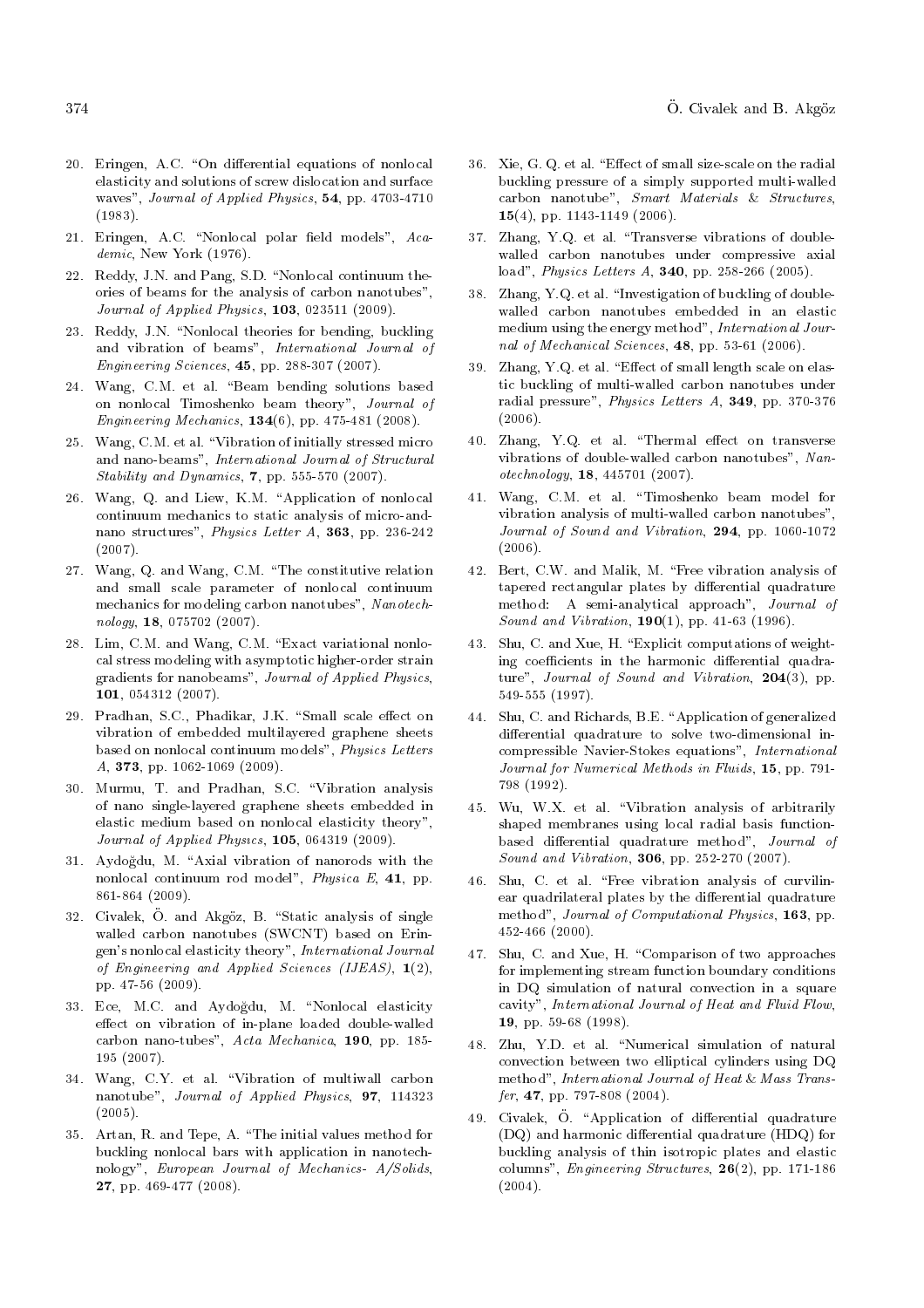- 20. Eringen, A.C. "On differential equations of nonlocal elasticity and solutions of screw dislocation and surface waves", Journal of Applied Physics, 54, pp. 4703-4710 (1983).
- 21. Eringen, A.C. "Nonlocal polar field models",  $Aca$ demic, New York (1976).
- 22. Reddy, J.N. and Pang, S.D. "Nonlocal continuum theories of beams for the analysis of carbon nanotubes", Journal of Applied Physics, 103, 023511 (2009).
- 23. Reddy, J.N. "Nonlocal theories for bending, buckling and vibration of beams", International Journal of Engineering Sciences, 45, pp. 288-307 (2007).
- 24. Wang, C.M. et al. "Beam bending solutions based on nonlocal Timoshenko beam theory", Journal of Engineering Mechanics,  $134(6)$ , pp. 475-481 (2008).
- 25. Wang, C.M. et al. \Vibration of initially stressed micro and nano-beams", International Journal of Structural Stability and Dynamics, 7, pp. 555-570 (2007).
- 26. Wang, Q. and Liew, K.M. "Application of nonlocal continuum mechanics to static analysis of micro-andnano structures", Physics Letter A, 363, pp. 236-242 (2007).
- 27. Wang, Q. and Wang, C.M. \The constitutive relation and small scale parameter of nonlocal continuum mechanics for modeling carbon nanotubes", Nanotechnology, 18, 075702 (2007).
- 28. Lim, C.M. and Wang, C.M. "Exact variational nonlocal stress modeling with asymptotic higher-order strain gradients for nanobeams", Journal of Applied Physics, 101, 054312 (2007).
- 29. Pradhan, S.C., Phadikar, J.K. "Small scale effect on vibration of embedded multilayered graphene sheets based on nonlocal continuum models", Physics Letters A, 373, pp. 1062-1069 (2009).
- 30. Murmu, T. and Pradhan, S.C. \Vibration analysis of nano single-layered graphene sheets embedded in elastic medium based on nonlocal elasticity theory", Journal of Applied Physcs, 105, 064319 (2009).
- 31. Aydoğdu, M. "Axial vibration of nanorods with the nonlocal continuum rod model", Physica E, 41, pp. 861-864 (2009).
- 32. Civalek, Ö. and Akgöz, B. "Static analysis of single walled carbon nanotubes (SWCNT) based on Eringen's nonlocal elasticity theory", International Journal of Engineering and Applied Sciences (IJEAS),  $\mathbf{1}(2)$ , pp. 47-56 (2009).
- 33. Ece, M.C. and Aydogdu, M. \Nonlocal elasticity effect on vibration of in-plane loaded double-walled carbon nano-tubes", Acta Mechanica, 190, pp. 185- 195 (2007).
- 34. Wang, C.Y. et al. \Vibration of multiwall carbon nanotube", Journal of Applied Physics, 97, 114323 (2005).
- 35. Artan, R. and Tepe, A. \The initial values method for buckling nonlocal bars with application in nanotechnology", European Journal of Mechanics- A/Solids, 27, pp. 469-477 (2008).
- 36. Xie, G. Q. et al. "Effect of small size-scale on the radial buckling pressure of a simply supported multi-walled carbon nanotube", Smart Materials & Structures, 15(4), pp. 1143-1149 (2006).
- 37. Zhang, Y.Q. et al. \Transverse vibrations of doublewalled carbon nanotubes under compressive axial load", Physics Letters A, 340, pp. 258-266 (2005).
- 38. Zhang, Y.Q. et al. \Investigation of buckling of doublewalled carbon nanotubes embedded in an elastic medium using the energy method", International Journal of Mechanical Sciences, 48, pp. 53-61 (2006).
- 39. Zhang, Y.Q. et al. "Effect of small length scale on elastic buckling of multi-walled carbon nanotubes under radial pressure", Physics Letters A, 349, pp. 370-376 (2006).
- 40. Zhang, Y.O. et al. "Thermal effect on transverse vibrations of double-walled carbon nanotubes", Nanotechnology, 18, 445701 (2007).
- 41. Wang, C.M. et al. \Timoshenko beam model for vibration analysis of multi-walled carbon nanotubes", Journal of Sound and Vibration, 294, pp. 1060-1072 (2006).
- 42. Bert, C.W. and Malik, M. "Free vibration analysis of tapered rectangular plates by differential quadrature method: A semi-analytical approach", Journal of Sound and Vibration, 190(1), pp. 41-63 (1996).
- 43. Shu, C. and Xue, H. \Explicit computations of weighting coefficients in the harmonic differential quadrature", Journal of Sound and Vibration, 204(3), pp. 549-555 (1997).
- 44. Shu, C. and Richards, B.E. \Application of generalized differential quadrature to solve two-dimensional incompressible Navier-Stokes equations", International Journal for Numerical Methods in Fluids, 15, pp. 791- 798 (1992).
- 45. Wu, W.X. et al. \Vibration analysis of arbitrarily shaped membranes using local radial basis functionbased differential quadrature method", Journal of Sound and Vibration, 306, pp. 252-270 (2007).
- 46. Shu, C. et al. \Free vibration analysis of curvilinear quadrilateral plates by the differential quadrature method", Journal of Computational Physics, 163, pp. 452-466 (2000).
- 47. Shu, C. and Xue, H. \Comparison of two approaches for implementing stream function boundary conditions in DQ simulation of natural convection in a square cavity", International Journal of Heat and Fluid Flow, 19, pp. 59-68 (1998).
- 48. Zhu, Y.D. et al. "Numerical simulation of natural convection between two elliptical cylinders using DQ method", International Journal of Heat & Mass Trans $fer, 47, pp. 797-808 (2004).$
- 49. Civalek, Ö. "Application of differential quadrature (DQ) and harmonic differential quadrature (HDQ) for buckling analysis of thin isotropic plates and elastic columns", Engineering Structures,  $26(2)$ , pp. 171-186 (2004).